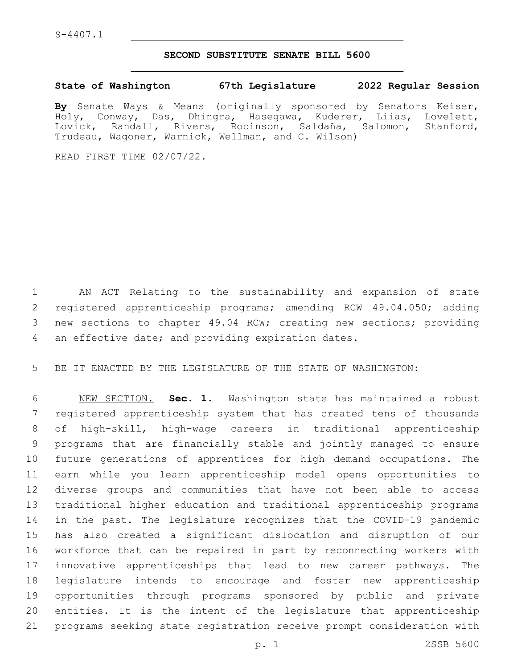## **SECOND SUBSTITUTE SENATE BILL 5600**

## **State of Washington 67th Legislature 2022 Regular Session**

**By** Senate Ways & Means (originally sponsored by Senators Keiser, Holy, Conway, Das, Dhingra, Hasegawa, Kuderer, Liias, Lovelett, Lovick, Randall, Rivers, Robinson, Saldaña, Salomon, Stanford, Trudeau, Wagoner, Warnick, Wellman, and C. Wilson)

READ FIRST TIME 02/07/22.

 AN ACT Relating to the sustainability and expansion of state 2 registered apprenticeship programs; amending RCW 49.04.050; adding new sections to chapter 49.04 RCW; creating new sections; providing 4 an effective date; and providing expiration dates.

BE IT ENACTED BY THE LEGISLATURE OF THE STATE OF WASHINGTON:

 NEW SECTION. **Sec. 1.** Washington state has maintained a robust registered apprenticeship system that has created tens of thousands of high-skill, high-wage careers in traditional apprenticeship programs that are financially stable and jointly managed to ensure future generations of apprentices for high demand occupations. The earn while you learn apprenticeship model opens opportunities to diverse groups and communities that have not been able to access traditional higher education and traditional apprenticeship programs in the past. The legislature recognizes that the COVID-19 pandemic has also created a significant dislocation and disruption of our workforce that can be repaired in part by reconnecting workers with innovative apprenticeships that lead to new career pathways. The legislature intends to encourage and foster new apprenticeship opportunities through programs sponsored by public and private entities. It is the intent of the legislature that apprenticeship programs seeking state registration receive prompt consideration with

p. 1 2SSB 5600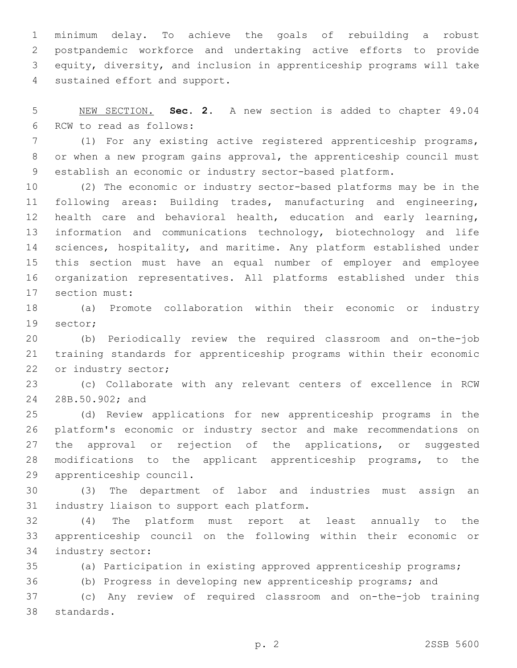minimum delay. To achieve the goals of rebuilding a robust postpandemic workforce and undertaking active efforts to provide equity, diversity, and inclusion in apprenticeship programs will take 4 sustained effort and support.

 NEW SECTION. **Sec. 2.** A new section is added to chapter 49.04 6 RCW to read as follows:

 (1) For any existing active registered apprenticeship programs, or when a new program gains approval, the apprenticeship council must establish an economic or industry sector-based platform.

 (2) The economic or industry sector-based platforms may be in the following areas: Building trades, manufacturing and engineering, health care and behavioral health, education and early learning, information and communications technology, biotechnology and life sciences, hospitality, and maritime. Any platform established under this section must have an equal number of employer and employee organization representatives. All platforms established under this 17 section must:

 (a) Promote collaboration within their economic or industry 19 sector;

 (b) Periodically review the required classroom and on-the-job training standards for apprenticeship programs within their economic 22 or industry sector;

 (c) Collaborate with any relevant centers of excellence in RCW 24 28B.50.902; and

 (d) Review applications for new apprenticeship programs in the platform's economic or industry sector and make recommendations on 27 the approval or rejection of the applications, or suggested modifications to the applicant apprenticeship programs, to the 29 apprenticeship council.

 (3) The department of labor and industries must assign an 31 industry liaison to support each platform.

 (4) The platform must report at least annually to the apprenticeship council on the following within their economic or 34 industry sector:

(a) Participation in existing approved apprenticeship programs;

(b) Progress in developing new apprenticeship programs; and

 (c) Any review of required classroom and on-the-job training 38 standards.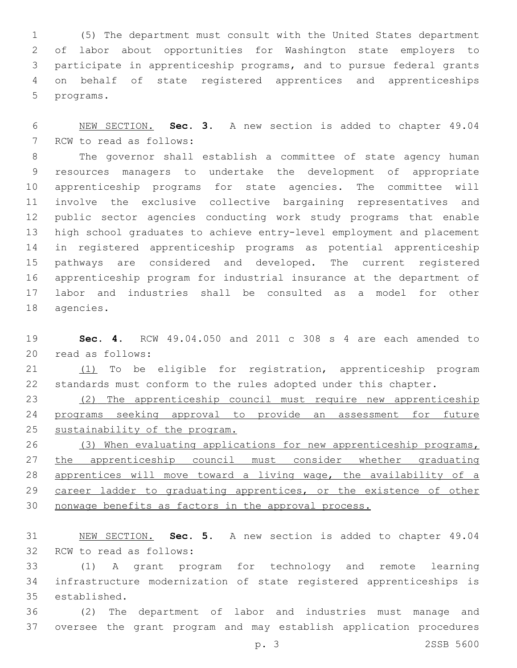(5) The department must consult with the United States department of labor about opportunities for Washington state employers to participate in apprenticeship programs, and to pursue federal grants on behalf of state registered apprentices and apprenticeships 5 programs.

 NEW SECTION. **Sec. 3.** A new section is added to chapter 49.04 7 RCW to read as follows:

 The governor shall establish a committee of state agency human resources managers to undertake the development of appropriate apprenticeship programs for state agencies. The committee will involve the exclusive collective bargaining representatives and public sector agencies conducting work study programs that enable high school graduates to achieve entry-level employment and placement in registered apprenticeship programs as potential apprenticeship pathways are considered and developed. The current registered apprenticeship program for industrial insurance at the department of labor and industries shall be consulted as a model for other 18 agencies.

 **Sec. 4.** RCW 49.04.050 and 2011 c 308 s 4 are each amended to 20 read as follows:

21 (1) To be eligible for registration, apprenticeship program standards must conform to the rules adopted under this chapter.

 (2) The apprenticeship council must require new apprenticeship programs seeking approval to provide an assessment for future sustainability of the program.

26 (3) When evaluating applications for new apprenticeship programs, the apprenticeship council must consider whether graduating 28 apprentices will move toward a living wage, the availability of a 29 career ladder to graduating apprentices, or the existence of other nonwage benefits as factors in the approval process.

 NEW SECTION. **Sec. 5.** A new section is added to chapter 49.04 32 RCW to read as follows:

 (1) A grant program for technology and remote learning infrastructure modernization of state registered apprenticeships is 35 established.

 (2) The department of labor and industries must manage and oversee the grant program and may establish application procedures

p. 3 2SSB 5600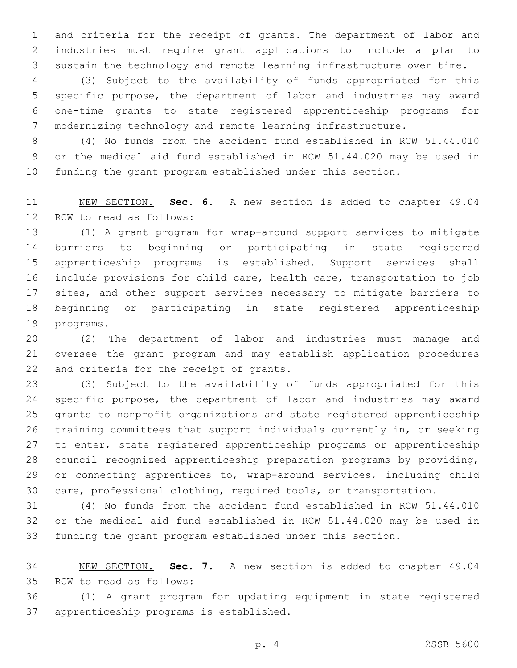and criteria for the receipt of grants. The department of labor and industries must require grant applications to include a plan to sustain the technology and remote learning infrastructure over time.

 (3) Subject to the availability of funds appropriated for this specific purpose, the department of labor and industries may award one-time grants to state registered apprenticeship programs for modernizing technology and remote learning infrastructure.

 (4) No funds from the accident fund established in RCW 51.44.010 or the medical aid fund established in RCW 51.44.020 may be used in funding the grant program established under this section.

 NEW SECTION. **Sec. 6.** A new section is added to chapter 49.04 12 RCW to read as follows:

 (1) A grant program for wrap-around support services to mitigate barriers to beginning or participating in state registered apprenticeship programs is established. Support services shall include provisions for child care, health care, transportation to job 17 sites, and other support services necessary to mitigate barriers to beginning or participating in state registered apprenticeship 19 programs.

 (2) The department of labor and industries must manage and oversee the grant program and may establish application procedures 22 and criteria for the receipt of grants.

 (3) Subject to the availability of funds appropriated for this specific purpose, the department of labor and industries may award grants to nonprofit organizations and state registered apprenticeship training committees that support individuals currently in, or seeking to enter, state registered apprenticeship programs or apprenticeship council recognized apprenticeship preparation programs by providing, or connecting apprentices to, wrap-around services, including child care, professional clothing, required tools, or transportation.

 (4) No funds from the accident fund established in RCW 51.44.010 or the medical aid fund established in RCW 51.44.020 may be used in funding the grant program established under this section.

 NEW SECTION. **Sec. 7.** A new section is added to chapter 49.04 35 RCW to read as follows:

 (1) A grant program for updating equipment in state registered 37 apprenticeship programs is established.

p. 4 2SSB 5600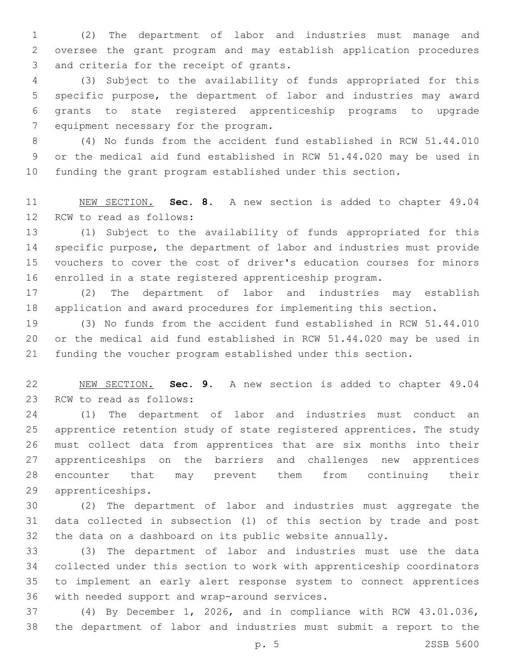(2) The department of labor and industries must manage and oversee the grant program and may establish application procedures 3 and criteria for the receipt of grants.

 (3) Subject to the availability of funds appropriated for this specific purpose, the department of labor and industries may award grants to state registered apprenticeship programs to upgrade 7 equipment necessary for the program.

 (4) No funds from the accident fund established in RCW 51.44.010 or the medical aid fund established in RCW 51.44.020 may be used in funding the grant program established under this section.

 NEW SECTION. **Sec. 8.** A new section is added to chapter 49.04 12 RCW to read as follows:

 (1) Subject to the availability of funds appropriated for this specific purpose, the department of labor and industries must provide vouchers to cover the cost of driver's education courses for minors enrolled in a state registered apprenticeship program.

 (2) The department of labor and industries may establish application and award procedures for implementing this section.

 (3) No funds from the accident fund established in RCW 51.44.010 or the medical aid fund established in RCW 51.44.020 may be used in funding the voucher program established under this section.

 NEW SECTION. **Sec. 9.** A new section is added to chapter 49.04 23 RCW to read as follows:

 (1) The department of labor and industries must conduct an apprentice retention study of state registered apprentices. The study must collect data from apprentices that are six months into their apprenticeships on the barriers and challenges new apprentices encounter that may prevent them from continuing their 29 apprenticeships.

 (2) The department of labor and industries must aggregate the data collected in subsection (1) of this section by trade and post the data on a dashboard on its public website annually.

 (3) The department of labor and industries must use the data collected under this section to work with apprenticeship coordinators to implement an early alert response system to connect apprentices 36 with needed support and wrap-around services.

 (4) By December 1, 2026, and in compliance with RCW 43.01.036, the department of labor and industries must submit a report to the

p. 5 2SSB 5600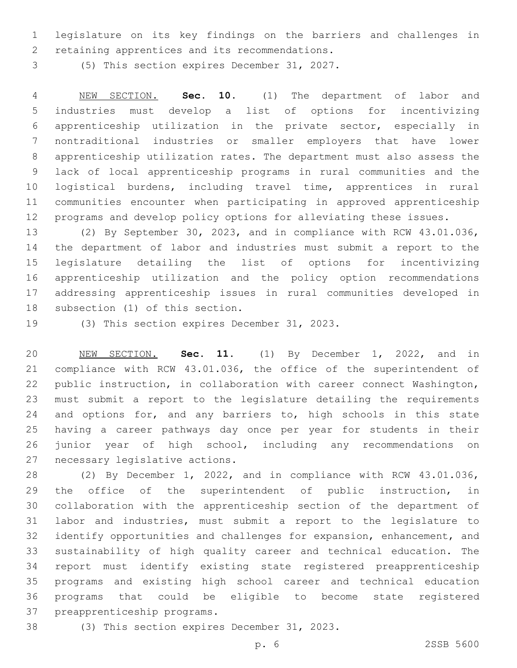legislature on its key findings on the barriers and challenges in 2 retaining apprentices and its recommendations.

3 (5) This section expires December 31, 2027.

 NEW SECTION. **Sec. 10.** (1) The department of labor and industries must develop a list of options for incentivizing apprenticeship utilization in the private sector, especially in nontraditional industries or smaller employers that have lower apprenticeship utilization rates. The department must also assess the lack of local apprenticeship programs in rural communities and the logistical burdens, including travel time, apprentices in rural communities encounter when participating in approved apprenticeship programs and develop policy options for alleviating these issues.

 (2) By September 30, 2023, and in compliance with RCW 43.01.036, the department of labor and industries must submit a report to the legislature detailing the list of options for incentivizing apprenticeship utilization and the policy option recommendations addressing apprenticeship issues in rural communities developed in 18 subsection (1) of this section.

19 (3) This section expires December 31, 2023.

 NEW SECTION. **Sec. 11.** (1) By December 1, 2022, and in compliance with RCW 43.01.036, the office of the superintendent of public instruction, in collaboration with career connect Washington, must submit a report to the legislature detailing the requirements 24 and options for, and any barriers to, high schools in this state having a career pathways day once per year for students in their junior year of high school, including any recommendations on necessary legislative actions.

 (2) By December 1, 2022, and in compliance with RCW 43.01.036, 29 the office of the superintendent of public instruction, in collaboration with the apprenticeship section of the department of labor and industries, must submit a report to the legislature to identify opportunities and challenges for expansion, enhancement, and sustainability of high quality career and technical education. The report must identify existing state registered preapprenticeship programs and existing high school career and technical education programs that could be eligible to become state registered 37 preapprenticeship programs.

38 (3) This section expires December 31, 2023.